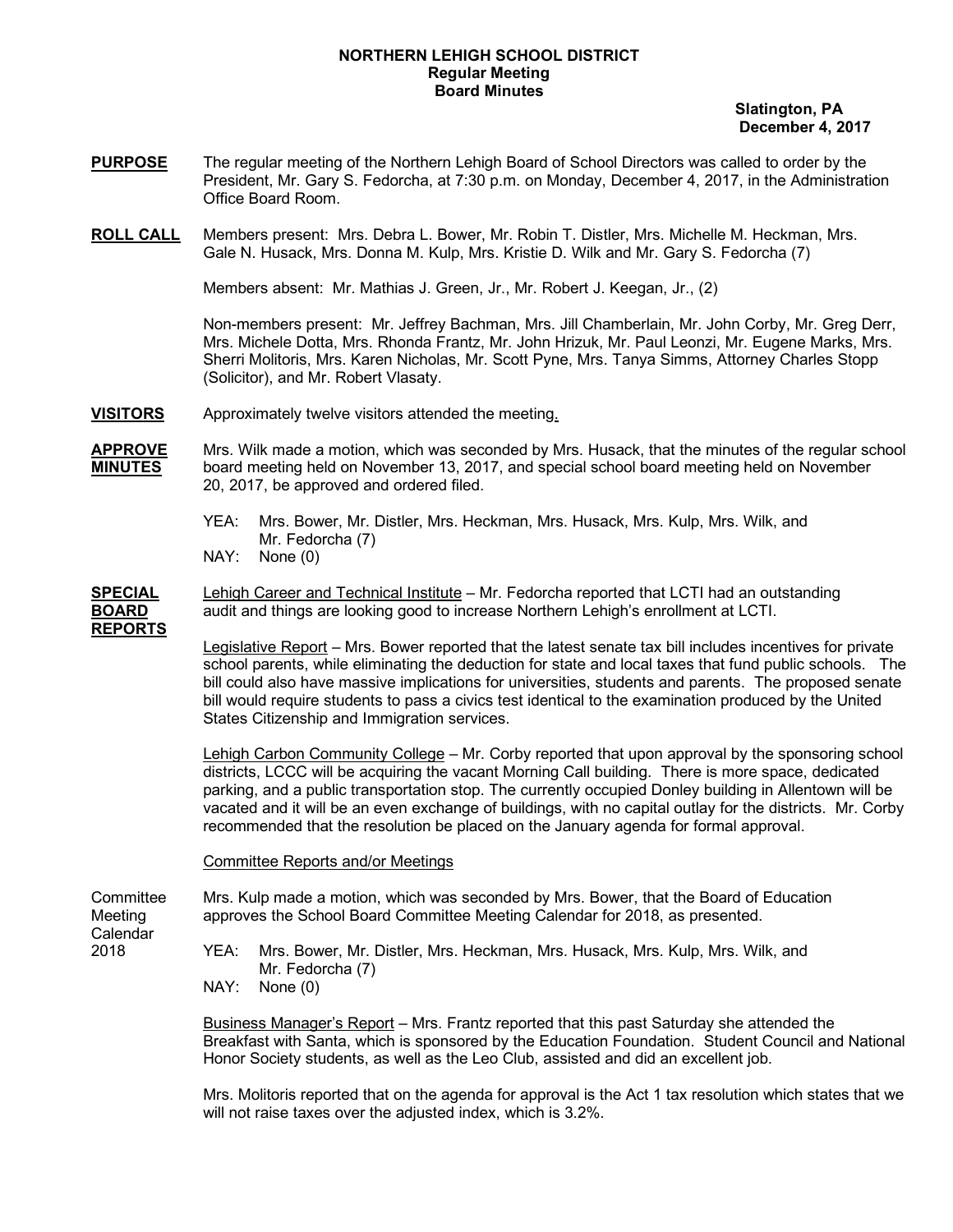## **NORTHERN LEHIGH SCHOOL DISTRICT Regular Meeting Board Minutes**

 **Slatington, PA December 4, 2017**

- **PURPOSE** The regular meeting of the Northern Lehigh Board of School Directors was called to order by the President, Mr. Gary S. Fedorcha, at 7:30 p.m. on Monday, December 4, 2017, in the Administration Office Board Room.
- **ROLL CALL** Members present: Mrs. Debra L. Bower, Mr. Robin T. Distler, Mrs. Michelle M. Heckman, Mrs. Gale N. Husack, Mrs. Donna M. Kulp, Mrs. Kristie D. Wilk and Mr. Gary S. Fedorcha (7)

Members absent: Mr. Mathias J. Green, Jr., Mr. Robert J. Keegan, Jr., (2)

Non-members present: Mr. Jeffrey Bachman, Mrs. Jill Chamberlain, Mr. John Corby, Mr. Greg Derr, Mrs. Michele Dotta, Mrs. Rhonda Frantz, Mr. John Hrizuk, Mr. Paul Leonzi, Mr. Eugene Marks, Mrs. Sherri Molitoris, Mrs. Karen Nicholas, Mr. Scott Pyne, Mrs. Tanya Simms, Attorney Charles Stopp (Solicitor), and Mr. Robert Vlasaty.

**VISITORS** Approximately twelve visitors attended the meeting.

**APPROVE** Mrs. Wilk made a motion, which was seconded by Mrs. Husack, that the minutes of the regular school **MINUTES** board meeting held on November 13, 2017, and special school board meeting held on November 20, 2017, be approved and ordered filed.

- YEA: Mrs. Bower, Mr. Distler, Mrs. Heckman, Mrs. Husack, Mrs. Kulp, Mrs. Wilk, and Mr. Fedorcha (7)
- NAY: None (0)

**SPECIAL** Lehigh Career and Technical Institute – Mr. Fedorcha reported that LCTI had an outstanding **BOARD** audit and things are looking good to increase Northern Lehigh's enrollment at LCTI. **REPORTS**

> Legislative Report – Mrs. Bower reported that the latest senate tax bill includes incentives for private school parents, while eliminating the deduction for state and local taxes that fund public schools. The bill could also have massive implications for universities, students and parents. The proposed senate bill would require students to pass a civics test identical to the examination produced by the United States Citizenship and Immigration services.

> Lehigh Carbon Community College – Mr. Corby reported that upon approval by the sponsoring school districts, LCCC will be acquiring the vacant Morning Call building. There is more space, dedicated parking, and a public transportation stop. The currently occupied Donley building in Allentown will be vacated and it will be an even exchange of buildings, with no capital outlay for the districts. Mr. Corby recommended that the resolution be placed on the January agenda for formal approval.

Committee Reports and/or Meetings

Calendar<br>2018

Committee Mrs. Kulp made a motion, which was seconded by Mrs. Bower, that the Board of Education Meeting approves the School Board Committee Meeting Calendar for 2018, as presented.

> YEA: Mrs. Bower, Mr. Distler, Mrs. Heckman, Mrs. Husack, Mrs. Kulp, Mrs. Wilk, and Mr. Fedorcha (7) NAY: None (0)

Business Manager's Report – Mrs. Frantz reported that this past Saturday she attended the Breakfast with Santa, which is sponsored by the Education Foundation. Student Council and National Honor Society students, as well as the Leo Club, assisted and did an excellent job.

Mrs. Molitoris reported that on the agenda for approval is the Act 1 tax resolution which states that we will not raise taxes over the adjusted index, which is 3.2%.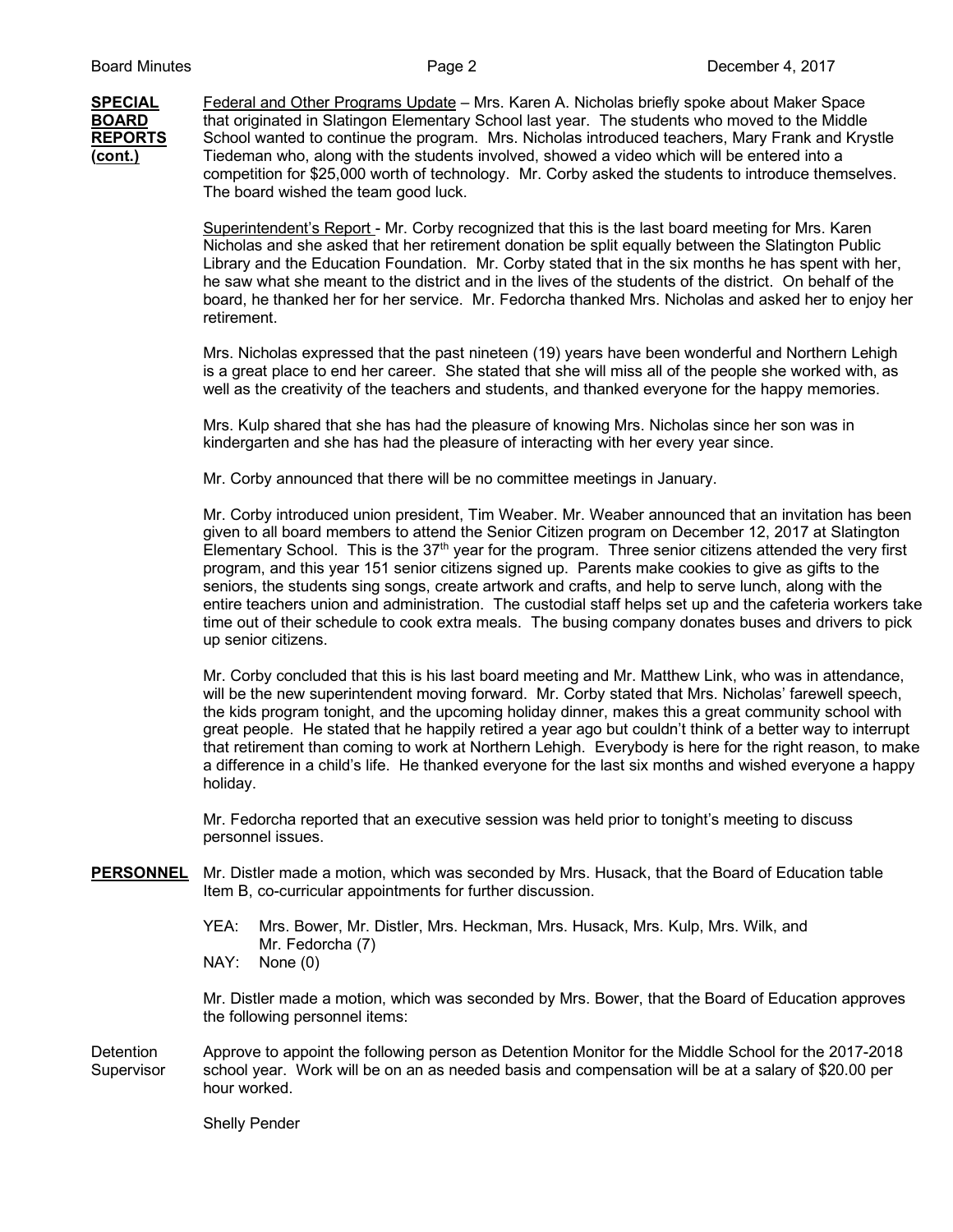**SPECIAL** Federal and Other Programs Update – Mrs. Karen A. Nicholas briefly spoke about Maker Space **BOARD** that originated in Slatingon Elementary School last year. The students who moved to the Middle **REPORTS** School wanted to continue the program. Mrs. Nicholas introduced teachers, Mary Frank and Krystle **(cont.)** Tiedeman who, along with the students involved, showed a video which will be entered into a competition for \$25,000 worth of technology. Mr. Corby asked the students to introduce themselves. The board wished the team good luck.

> Superintendent's Report - Mr. Corby recognized that this is the last board meeting for Mrs. Karen Nicholas and she asked that her retirement donation be split equally between the Slatington Public Library and the Education Foundation. Mr. Corby stated that in the six months he has spent with her, he saw what she meant to the district and in the lives of the students of the district. On behalf of the board, he thanked her for her service. Mr. Fedorcha thanked Mrs. Nicholas and asked her to enjoy her retirement.

Mrs. Nicholas expressed that the past nineteen (19) years have been wonderful and Northern Lehigh is a great place to end her career. She stated that she will miss all of the people she worked with, as well as the creativity of the teachers and students, and thanked everyone for the happy memories.

Mrs. Kulp shared that she has had the pleasure of knowing Mrs. Nicholas since her son was in kindergarten and she has had the pleasure of interacting with her every year since.

Mr. Corby announced that there will be no committee meetings in January.

Mr. Corby introduced union president, Tim Weaber. Mr. Weaber announced that an invitation has been given to all board members to attend the Senior Citizen program on December 12, 2017 at Slatington Elementary School. This is the  $37<sup>th</sup>$  year for the program. Three senior citizens attended the very first program, and this year 151 senior citizens signed up. Parents make cookies to give as gifts to the seniors, the students sing songs, create artwork and crafts, and help to serve lunch, along with the entire teachers union and administration. The custodial staff helps set up and the cafeteria workers take time out of their schedule to cook extra meals. The busing company donates buses and drivers to pick up senior citizens.

Mr. Corby concluded that this is his last board meeting and Mr. Matthew Link, who was in attendance, will be the new superintendent moving forward. Mr. Corby stated that Mrs. Nicholas' farewell speech, the kids program tonight, and the upcoming holiday dinner, makes this a great community school with great people. He stated that he happily retired a year ago but couldn't think of a better way to interrupt that retirement than coming to work at Northern Lehigh. Everybody is here for the right reason, to make a difference in a child's life. He thanked everyone for the last six months and wished everyone a happy holiday.

Mr. Fedorcha reported that an executive session was held prior to tonight's meeting to discuss personnel issues.

- **PERSONNEL** Mr. Distler made a motion, which was seconded by Mrs. Husack, that the Board of Education table Item B, co-curricular appointments for further discussion.
	- YEA: Mrs. Bower, Mr. Distler, Mrs. Heckman, Mrs. Husack, Mrs. Kulp, Mrs. Wilk, and Mr. Fedorcha (7)
	- NAY: None (0)

Mr. Distler made a motion, which was seconded by Mrs. Bower, that the Board of Education approves the following personnel items:

Detention Approve to appoint the following person as Detention Monitor for the Middle School for the 2017-2018 Supervisor school year. Work will be on an as needed basis and compensation will be at a salary of \$20.00 per hour worked.

Shelly Pender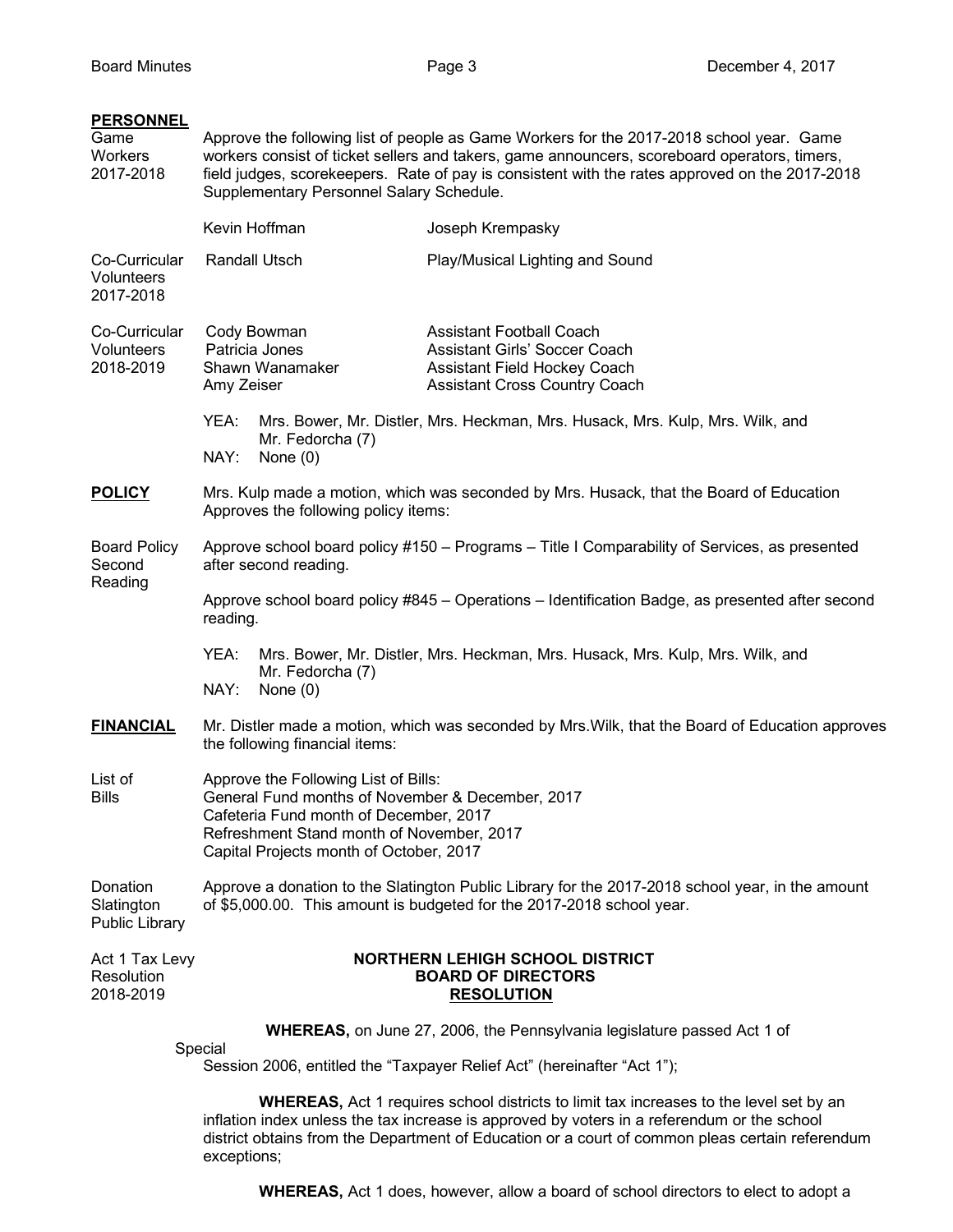| <b>PERSONNEL</b><br>Game<br>Workers<br>2017-2018 |                                                                                                                                                                                                                            | Supplementary Personnel Salary Schedule. | Approve the following list of people as Game Workers for the 2017-2018 school year. Game<br>workers consist of ticket sellers and takers, game announcers, scoreboard operators, timers,<br>field judges, scorekeepers. Rate of pay is consistent with the rates approved on the 2017-2018 |
|--------------------------------------------------|----------------------------------------------------------------------------------------------------------------------------------------------------------------------------------------------------------------------------|------------------------------------------|--------------------------------------------------------------------------------------------------------------------------------------------------------------------------------------------------------------------------------------------------------------------------------------------|
|                                                  | Kevin Hoffman                                                                                                                                                                                                              |                                          | Joseph Krempasky                                                                                                                                                                                                                                                                           |
| Co-Curricular<br>Volunteers<br>2017-2018         | Randall Utsch                                                                                                                                                                                                              |                                          | Play/Musical Lighting and Sound                                                                                                                                                                                                                                                            |
| Co-Curricular<br>Volunteers<br>2018-2019         | Cody Bowman<br>Patricia Jones<br>Shawn Wanamaker<br>Amy Zeiser<br>YEA:                                                                                                                                                     |                                          | <b>Assistant Football Coach</b><br><b>Assistant Girls' Soccer Coach</b><br>Assistant Field Hockey Coach<br><b>Assistant Cross Country Coach</b><br>Mrs. Bower, Mr. Distler, Mrs. Heckman, Mrs. Husack, Mrs. Kulp, Mrs. Wilk, and                                                           |
|                                                  | Mr. Fedorcha (7)<br>NAY:<br>None $(0)$                                                                                                                                                                                     |                                          |                                                                                                                                                                                                                                                                                            |
| <b>POLICY</b>                                    | Mrs. Kulp made a motion, which was seconded by Mrs. Husack, that the Board of Education<br>Approves the following policy items:                                                                                            |                                          |                                                                                                                                                                                                                                                                                            |
| <b>Board Policy</b><br>Second<br>Reading         | Approve school board policy #150 - Programs - Title I Comparability of Services, as presented<br>after second reading.                                                                                                     |                                          |                                                                                                                                                                                                                                                                                            |
|                                                  | Approve school board policy #845 - Operations - Identification Badge, as presented after second<br>reading.                                                                                                                |                                          |                                                                                                                                                                                                                                                                                            |
|                                                  | YEA:<br>Mrs. Bower, Mr. Distler, Mrs. Heckman, Mrs. Husack, Mrs. Kulp, Mrs. Wilk, and<br>Mr. Fedorcha (7)<br>NAY:<br>None $(0)$                                                                                            |                                          |                                                                                                                                                                                                                                                                                            |
| <b>FINANCIAL</b>                                 | Mr. Distler made a motion, which was seconded by Mrs. Wilk, that the Board of Education approves<br>the following financial items:                                                                                         |                                          |                                                                                                                                                                                                                                                                                            |
| List of<br><b>Bills</b>                          | Approve the Following List of Bills:<br>General Fund months of November & December, 2017<br>Cafeteria Fund month of December, 2017<br>Refreshment Stand month of November, 2017<br>Capital Projects month of October, 2017 |                                          |                                                                                                                                                                                                                                                                                            |
| Donation<br>Slatington<br><b>Public Library</b>  | Approve a donation to the Slatington Public Library for the 2017-2018 school year, in the amount<br>of \$5,000.00. This amount is budgeted for the 2017-2018 school year.                                                  |                                          |                                                                                                                                                                                                                                                                                            |
| Act 1 Tax Levy<br>Resolution<br>2018-2019        | <b>NORTHERN LEHIGH SCHOOL DISTRICT</b><br><b>BOARD OF DIRECTORS</b><br><b>RESOLUTION</b>                                                                                                                                   |                                          |                                                                                                                                                                                                                                                                                            |
|                                                  | <b>WHEREAS, on June 27, 2006, the Pennsylvania legislature passed Act 1 of</b>                                                                                                                                             |                                          |                                                                                                                                                                                                                                                                                            |
|                                                  | Special<br>Session 2006, entitled the "Taxpayer Relief Act" (hereinafter "Act 1");                                                                                                                                         |                                          |                                                                                                                                                                                                                                                                                            |
|                                                  | <b>WHEREAS, Act 1 requires school districts to limit tax increases to the level set by an</b><br>inflation index unless the tax increase is approved by voters in a referendum or the school                               |                                          |                                                                                                                                                                                                                                                                                            |

**WHEREAS,** Act 1 does, however, allow a board of school directors to elect to adopt a

district obtains from the Department of Education or a court of common pleas certain referendum

exceptions;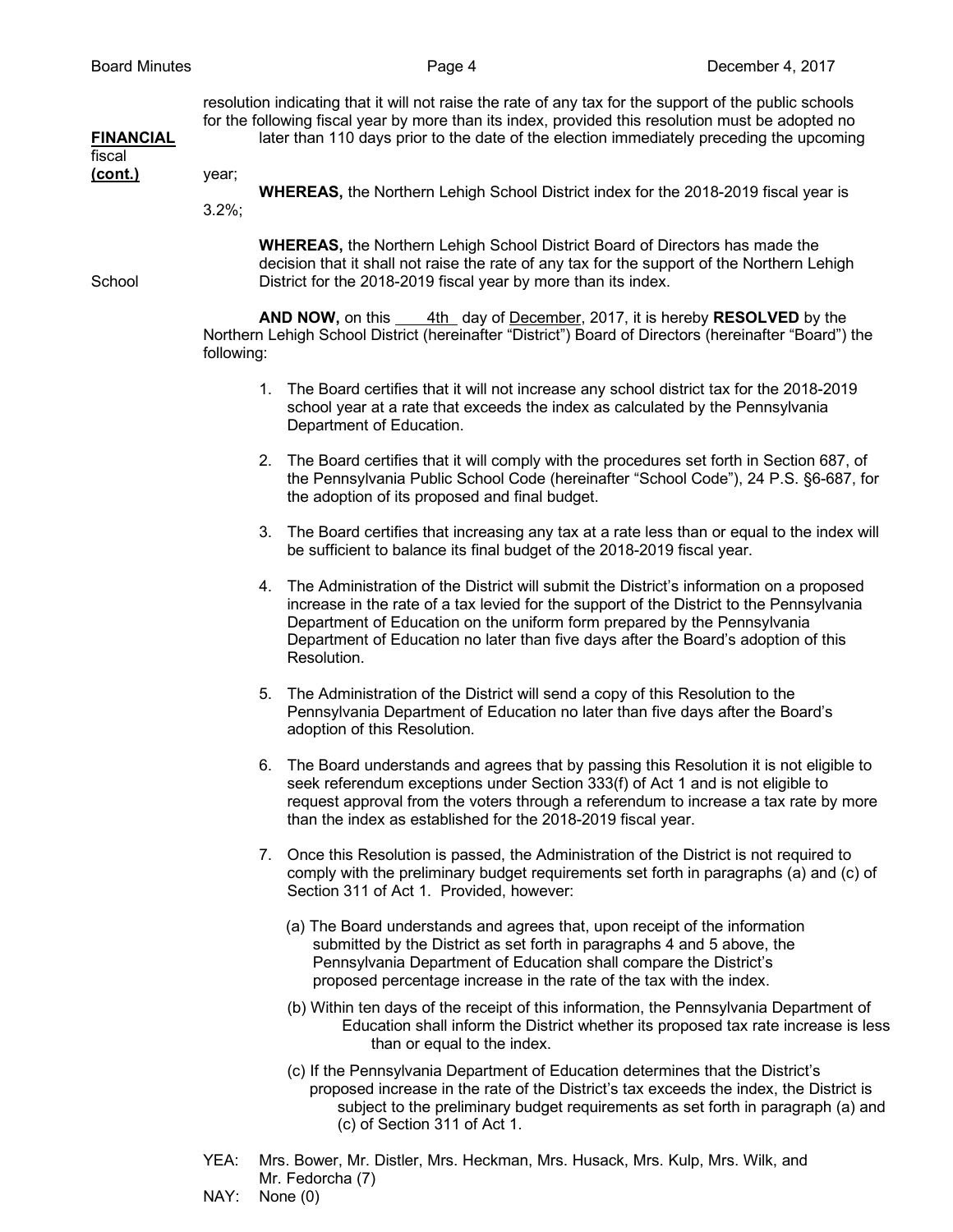resolution indicating that it will not raise the rate of any tax for the support of the public schools for the following fiscal year by more than its index, provided this resolution must be adopted no **FINANCIAL** later than 110 days prior to the date of the election immediately preceding the upcoming

fiscal **(cont.)** year;

**WHEREAS,** the Northern Lehigh School District index for the 2018-2019 fiscal year is 3.2%;

**WHEREAS,** the Northern Lehigh School District Board of Directors has made the decision that it shall not raise the rate of any tax for the support of the Northern Lehigh School District for the 2018-2019 fiscal year by more than its index.

> **AND NOW,** on this 4th day of December, 2017, it is hereby **RESOLVED** by the Northern Lehigh School District (hereinafter "District") Board of Directors (hereinafter "Board") the following:

- 1. The Board certifies that it will not increase any school district tax for the 2018-2019 school year at a rate that exceeds the index as calculated by the Pennsylvania Department of Education.
- 2. The Board certifies that it will comply with the procedures set forth in Section 687, of the Pennsylvania Public School Code (hereinafter "School Code"), 24 P.S. §6-687, for the adoption of its proposed and final budget.
- 3. The Board certifies that increasing any tax at a rate less than or equal to the index will be sufficient to balance its final budget of the 2018-2019 fiscal year.
- 4. The Administration of the District will submit the District's information on a proposed increase in the rate of a tax levied for the support of the District to the Pennsylvania Department of Education on the uniform form prepared by the Pennsylvania Department of Education no later than five days after the Board's adoption of this Resolution.
- 5. The Administration of the District will send a copy of this Resolution to the Pennsylvania Department of Education no later than five days after the Board's adoption of this Resolution.
- 6. The Board understands and agrees that by passing this Resolution it is not eligible to seek referendum exceptions under Section 333(f) of Act 1 and is not eligible to request approval from the voters through a referendum to increase a tax rate by more than the index as established for the 2018-2019 fiscal year.
- 7. Once this Resolution is passed, the Administration of the District is not required to comply with the preliminary budget requirements set forth in paragraphs (a) and (c) of Section 311 of Act 1. Provided, however:
	- (a) The Board understands and agrees that, upon receipt of the information submitted by the District as set forth in paragraphs 4 and 5 above, the Pennsylvania Department of Education shall compare the District's proposed percentage increase in the rate of the tax with the index.
	- (b) Within ten days of the receipt of this information, the Pennsylvania Department of Education shall inform the District whether its proposed tax rate increase is less than or equal to the index.
	- (c) If the Pennsylvania Department of Education determines that the District's proposed increase in the rate of the District's tax exceeds the index, the District is subject to the preliminary budget requirements as set forth in paragraph (a) and (c) of Section 311 of Act 1.
- YEA: Mrs. Bower, Mr. Distler, Mrs. Heckman, Mrs. Husack, Mrs. Kulp, Mrs. Wilk, and Mr. Fedorcha (7)
- NAY: None (0)